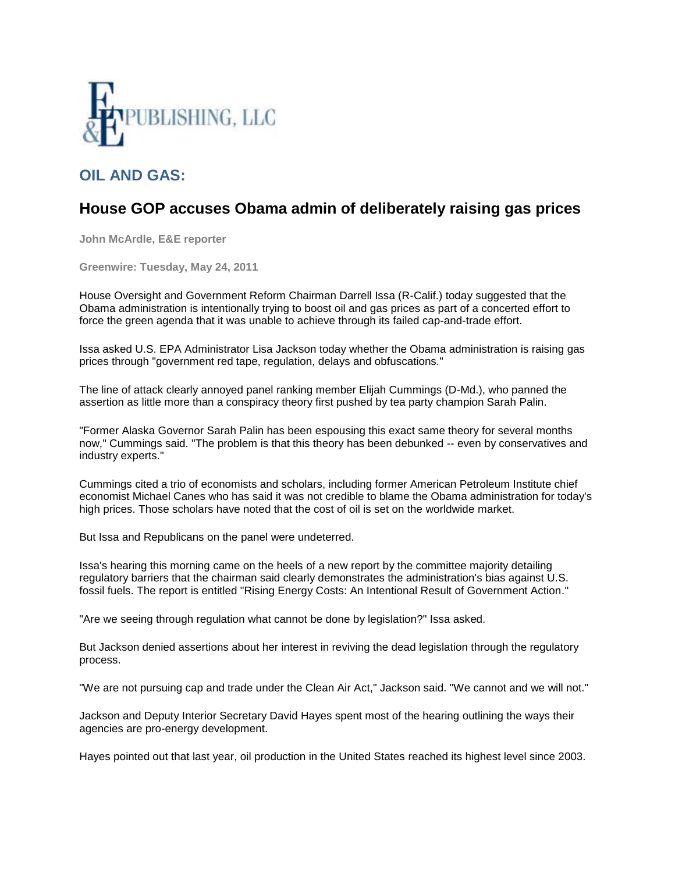

## **OIL AND GAS:**

## **House GOP accuses Obama admin of deliberately raising gas prices**

**John McArdle, E&E reporter**

**Greenwire: Tuesday, May 24, 2011**

House Oversight and Government Reform Chairman Darrell Issa (R-Calif.) today suggested that the Obama administration is intentionally trying to boost oil and gas prices as part of a concerted effort to force the green agenda that it was unable to achieve through its failed cap-and-trade effort.

Issa asked U.S. EPA Administrator Lisa Jackson today whether the Obama administration is raising gas prices through "government red tape, regulation, delays and obfuscations."

The line of attack clearly annoyed panel ranking member Elijah Cummings (D-Md.), who panned the assertion as little more than a conspiracy theory first pushed by tea party champion Sarah Palin.

"Former Alaska Governor Sarah Palin has been espousing this exact same theory for several months now," Cummings said. "The problem is that this theory has been debunked -- even by conservatives and industry experts."

Cummings cited a trio of economists and scholars, including former American Petroleum Institute chief economist Michael Canes who has said it was not credible to blame the Obama administration for today's high prices. Those scholars have noted that the cost of oil is set on the worldwide market.

But Issa and Republicans on the panel were undeterred.

Issa's hearing this morning came on the heels of a new report by the committee majority detailing regulatory barriers that the chairman said clearly demonstrates the administration's bias against U.S. fossil fuels. The report is entitled "Rising Energy Costs: An Intentional Result of Government Action."

"Are we seeing through regulation what cannot be done by legislation?" Issa asked.

But Jackson denied assertions about her interest in reviving the dead legislation through the regulatory process.

"We are not pursuing cap and trade under the Clean Air Act," Jackson said. "We cannot and we will not."

Jackson and Deputy Interior Secretary David Hayes spent most of the hearing outlining the ways their agencies are pro-energy development.

Hayes pointed out that last year, oil production in the United States reached its highest level since 2003.